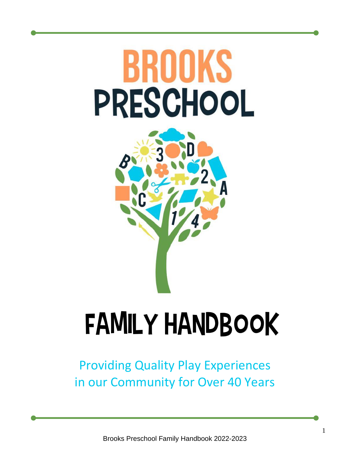# BROOKS PRESCHOOL



## Family handbook

Providing Quality Play Experiences in our Community for Over 40 Years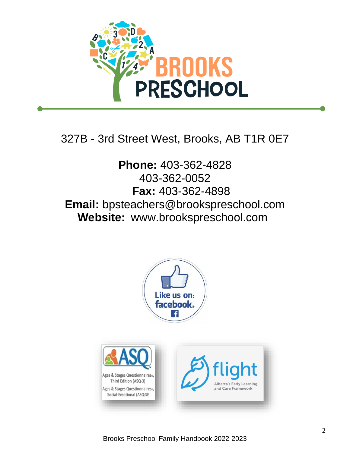

## 327B - 3rd Street West, Brooks, AB T1R 0E7

**Phone:** 403-362-4828 403-362-0052 **Fax:** 403-362-4898 **Email:** bpsteachers@brookspreschool.com  **Website:** [www.brookspreschool.com](http://www.brookspreschool.com/) 



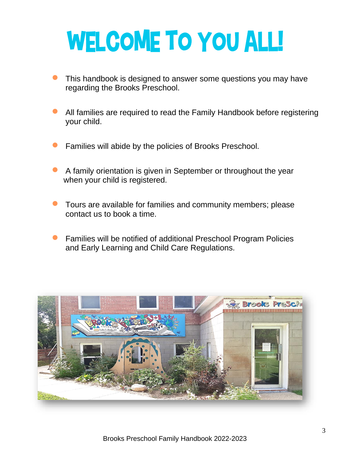## WELCOME TO YOU ALL!

- This handbook is designed to answer some questions you may have regarding the Brooks Preschool.
- All families are required to read the Family Handbook before registering your child.
- Families will abide by the policies of Brooks Preschool.
- A family orientation is given in September or throughout the year when your child is registered.
- Tours are available for families and community members; please contact us to book a time.
- Families will be notified of additional Preschool Program Policies and Early Learning and Child Care Regulations.

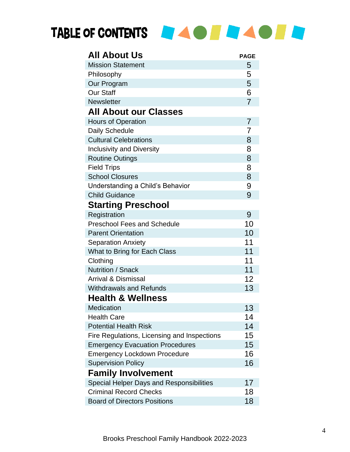## TABLE OF CONTENTS **TABLE OF BUILDING AND TABLE**

| <b>All About Us</b>                         | <b>PAGE</b>    |
|---------------------------------------------|----------------|
| <b>Mission Statement</b>                    | 5              |
| Philosophy                                  | 5              |
| Our Program                                 | 5              |
| <b>Our Staff</b>                            | 6              |
| <b>Newsletter</b>                           | $\overline{7}$ |
| <b>All About our Classes</b>                |                |
| <b>Hours of Operation</b>                   | $\overline{7}$ |
| <b>Daily Schedule</b>                       | 7              |
| <b>Cultural Celebrations</b>                | 8              |
| <b>Inclusivity and Diversity</b>            | 8              |
| <b>Routine Outings</b>                      | 8              |
| <b>Field Trips</b>                          | 8              |
| <b>School Closures</b>                      | 8              |
| Understanding a Child's Behavior            | 9              |
| <b>Child Guidance</b>                       | 9              |
| <b>Starting Preschool</b>                   |                |
| Registration                                | 9              |
| <b>Preschool Fees and Schedule</b>          | 10             |
| <b>Parent Orientation</b>                   | 10             |
| <b>Separation Anxiety</b>                   | 11             |
| What to Bring for Each Class                | 11             |
| Clothing                                    | 11             |
| <b>Nutrition / Snack</b>                    | 11             |
| Arrival & Dismissal                         | 12             |
| <b>Withdrawals and Refunds</b>              | 13             |
| <b>Health &amp; Wellness</b>                |                |
| <b>Medication</b>                           | 13             |
| <b>Health Care</b>                          | 14             |
| <b>Potential Health Risk</b>                | 14             |
| Fire Regulations, Licensing and Inspections | 15             |
| <b>Emergency Evacuation Procedures</b>      | 15             |
| <b>Emergency Lockdown Procedure</b>         | 16             |
| <b>Supervision Policy</b>                   | 16             |
| <b>Family Involvement</b>                   |                |
| Special Helper Days and Responsibilities    | 17             |
| <b>Criminal Record Checks</b>               | 18             |
| <b>Board of Directors Positions</b>         | 18             |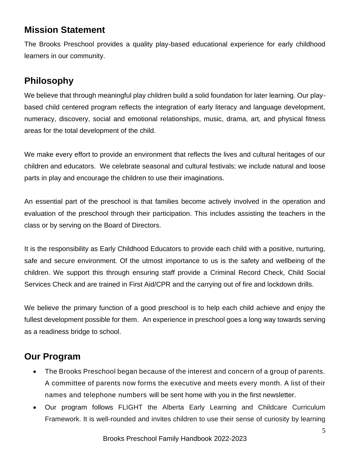## **Mission Statement**

The Brooks Preschool provides a quality play-based educational experience for early childhood learners in our community.

## **Philosophy**

We believe that through meaningful play children build a solid foundation for later learning. Our playbased child centered program reflects the integration of early literacy and language development, numeracy, discovery, social and emotional relationships, music, drama, art, and physical fitness areas for the total development of the child.

We make every effort to provide an environment that reflects the lives and cultural heritages of our children and educators. We celebrate seasonal and cultural festivals; we include natural and loose parts in play and encourage the children to use their imaginations.

An essential part of the preschool is that families become actively involved in the operation and evaluation of the preschool through their participation. This includes assisting the teachers in the class or by serving on the Board of Directors.

It is the responsibility as Early Childhood Educators to provide each child with a positive, nurturing, safe and secure environment. Of the utmost importance to us is the safety and wellbeing of the children. We support this through ensuring staff provide a Criminal Record Check, Child Social Services Check and are trained in First Aid/CPR and the carrying out of fire and lockdown drills.

We believe the primary function of a good preschool is to help each child achieve and enjoy the fullest development possible for them. An experience in preschool goes a long way towards serving as a readiness bridge to school.

## **Our Program**

- The Brooks Preschool began because of the interest and concern of a group of parents. A committee of parents now forms the executive and meets every month. A list of their names and telephone numbers will be sent home with you in the first newsletter.
- Our program follows FLIGHT the Alberta Early Learning and Childcare Curriculum Framework. It is well-rounded and invites children to use their sense of curiosity by learning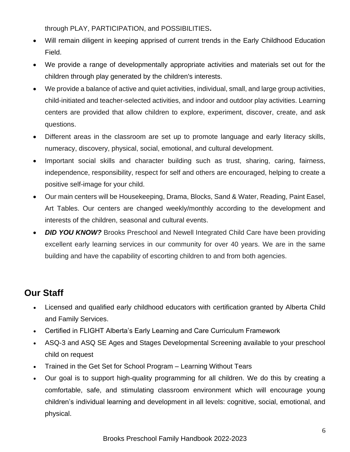through PLAY, PARTICIPATION, and POSSIBILITIES**.** 

- Will remain diligent in keeping apprised of current trends in the Early Childhood Education Field.
- We provide a range of developmentally appropriate activities and materials set out for the children through play generated by the children's interests.
- We provide a balance of active and quiet activities, individual, small, and large group activities, child-initiated and teacher-selected activities, and indoor and outdoor play activities. Learning centers are provided that allow children to explore, experiment, discover, create, and ask questions.
- Different areas in the classroom are set up to promote language and early literacy skills, numeracy, discovery, physical, social, emotional, and cultural development.
- Important social skills and character building such as trust, sharing, caring, fairness, independence, responsibility, respect for self and others are encouraged, helping to create a positive self-image for your child.
- Our main centers will be Housekeeping, Drama, Blocks, Sand & Water, Reading, Paint Easel, Art Tables. Our centers are changed weekly/monthly according to the development and interests of the children, seasonal and cultural events.
- **DID YOU KNOW?** Brooks Preschool and Newell Integrated Child Care have been providing excellent early learning services in our community for over 40 years. We are in the same building and have the capability of escorting children to and from both agencies.

## **Our Staff**

- Licensed and qualified early childhood educators with certification granted by Alberta Child and Family Services.
- Certified in FLIGHT Alberta's Early Learning and Care Curriculum Framework
- ASQ-3 and ASQ SE Ages and Stages Developmental Screening available to your preschool child on request
- Trained in the Get Set for School Program Learning Without Tears
- Our goal is to support high-quality programming for all children. We do this by creating a comfortable, safe, and stimulating classroom environment which will encourage young children's individual learning and development in all levels: cognitive, social, emotional, and physical.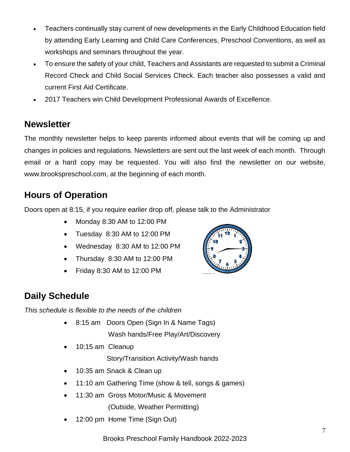- Teachers continually stay current of new developments in the Early Childhood Education field by attending Early Learning and Child Care Conferences, Preschool Conventions, as well as workshops and seminars throughout the year.
- To ensure the safety of your child, Teachers and Assistants are requested to submit a Criminal Record Check and Child Social Services Check. Each teacher also possesses a valid and current First Aid Certificate.
- 2017 Teachers win Child Development Professional Awards of Excellence.

#### **Newsletter**

The monthly newsletter helps to keep parents informed about events that will be coming up and changes in policies and regulations. Newsletters are sent out the last week of each month. Through email or a hard copy may be requested. You will also find the newsletter on our website, [www.brookspreschool.com,](http://www.brookspreschool.com/) at the beginning of each month.

#### **Hours of Operation**

Doors open at 8:15, if you require earlier drop off, please talk to the Administrator

- Monday 8:30 AM to 12:00 PM
- Tuesday 8:30 AM to 12:00 PM
- Wednesday 8:30 AM to 12:00 PM
- Thursday 8:30 AM to 12:00 PM
- Friday 8:30 AM to 12:00 PM



## **Daily Schedule**

*This schedule is flexible to the needs of the children*

- 8:15 am Doors Open (Sign In & Name Tags) Wash hands/Free Play/Art/Discovery
- 10:15 am Cleanup

Story/Transition Activity/Wash hands

- 10:35 am Snack & Clean up
- 11:10 am Gathering Time (show & tell, songs & games)
- 11:30 am Gross Motor/Music & Movement (Outside, Weather Permitting)
- 12:00 pm Home Time (Sign Out)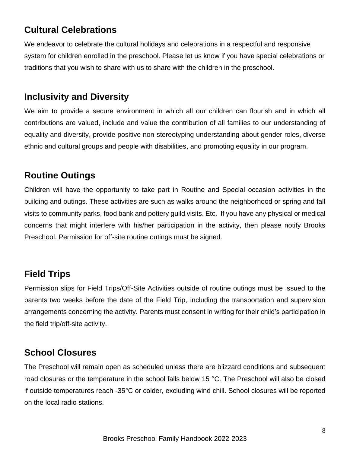## **Cultural Celebrations**

We endeavor to celebrate the cultural holidays and celebrations in a respectful and responsive system for children enrolled in the preschool. Please let us know if you have special celebrations or traditions that you wish to share with us to share with the children in the preschool.

#### **Inclusivity and Diversity**

We aim to provide a secure environment in which all our children can flourish and in which all contributions are valued, include and value the contribution of all families to our understanding of equality and diversity, provide positive non-stereotyping understanding about gender roles, diverse ethnic and cultural groups and people with disabilities, and promoting equality in our program.

#### **Routine Outings**

Children will have the opportunity to take part in Routine and Special occasion activities in the building and outings. These activities are such as walks around the neighborhood or spring and fall visits to community parks, food bank and pottery guild visits. Etc. If you have any physical or medical concerns that might interfere with his/her participation in the activity, then please notify Brooks Preschool. Permission for off-site routine outings must be signed.

## **Field Trips**

Permission slips for Field Trips/Off-Site Activities outside of routine outings must be issued to the parents two weeks before the date of the Field Trip, including the transportation and supervision arrangements concerning the activity. Parents must consent in writing for their child's participation in the field trip/off-site activity.

#### **School Closures**

The Preschool will remain open as scheduled unless there are blizzard conditions and subsequent road closures or the temperature in the school falls below 15 °C. The Preschool will also be closed if outside temperatures reach -35°C or colder, excluding wind chill. School closures will be reported on the local radio stations.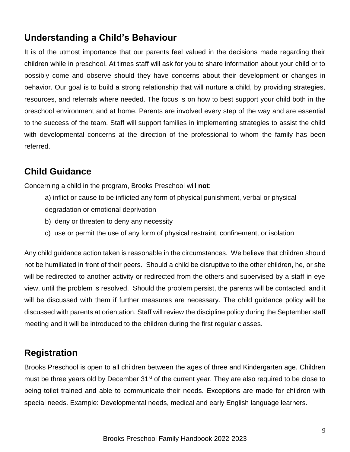#### **Understanding a Child's Behaviour**

It is of the utmost importance that our parents feel valued in the decisions made regarding their children while in preschool. At times staff will ask for you to share information about your child or to possibly come and observe should they have concerns about their development or changes in behavior. Our goal is to build a strong relationship that will nurture a child, by providing strategies, resources, and referrals where needed. The focus is on how to best support your child both in the preschool environment and at home. Parents are involved every step of the way and are essential to the success of the team. Staff will support families in implementing strategies to assist the child with developmental concerns at the direction of the professional to whom the family has been referred.

#### **Child Guidance**

Concerning a child in the program, Brooks Preschool will **not**:

- a) inflict or cause to be inflicted any form of physical punishment, verbal or physical degradation or emotional deprivation
- b)deny or threaten to deny any necessity
- c)use or permit the use of any form of physical restraint, confinement, or isolation

Any child guidance action taken is reasonable in the circumstances. We believe that children should not be humiliated in front of their peers. Should a child be disruptive to the other children, he, or she will be redirected to another activity or redirected from the others and supervised by a staff in eye view, until the problem is resolved. Should the problem persist, the parents will be contacted, and it will be discussed with them if further measures are necessary. The child guidance policy will be discussed with parents at orientation. Staff will review the discipline policy during the September staff meeting and it will be introduced to the children during the first regular classes.

#### **Registration**

Brooks Preschool is open to all children between the ages of three and Kindergarten age. Children must be three years old by December 31<sup>st</sup> of the current year. They are also required to be close to being toilet trained and able to communicate their needs. Exceptions are made for children with special needs. Example: Developmental needs, medical and early English language learners.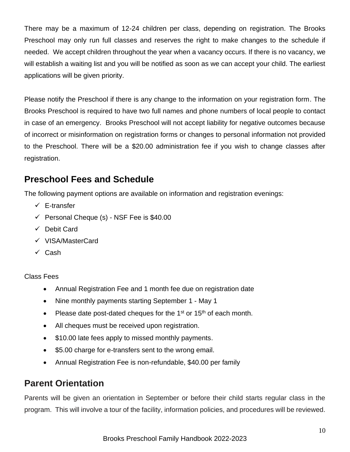There may be a maximum of 12-24 children per class, depending on registration. The Brooks Preschool may only run full classes and reserves the right to make changes to the schedule if needed. We accept children throughout the year when a vacancy occurs. If there is no vacancy, we will establish a waiting list and you will be notified as soon as we can accept your child. The earliest applications will be given priority.

Please notify the Preschool if there is any change to the information on your registration form. The Brooks Preschool is required to have two full names and phone numbers of local people to contact in case of an emergency. Brooks Preschool will not accept liability for negative outcomes because of incorrect or misinformation on registration forms or changes to personal information not provided to the Preschool. There will be a \$20.00 administration fee if you wish to change classes after registration.

## **Preschool Fees and Schedule**

The following payment options are available on information and registration evenings:

- ✓ E-transfer
- $\checkmark$  Personal Cheque (s) NSF Fee is \$40.00
- ✓ Debit Card
- ✓ VISA/MasterCard
- ✓ Cash

Class Fees

- Annual Registration Fee and 1 month fee due on registration date
- Nine monthly payments starting September 1 May 1
- Please date post-dated cheques for the  $1<sup>st</sup>$  or  $15<sup>th</sup>$  of each month.
- All cheques must be received upon registration.
- \$10.00 late fees apply to missed monthly payments.
- \$5.00 charge for e-transfers sent to the wrong email.
- Annual Registration Fee is non-refundable, \$40.00 per family

#### **Parent Orientation**

Parents will be given an orientation in September or before their child starts regular class in the program. This will involve a tour of the facility, information policies, and procedures will be reviewed.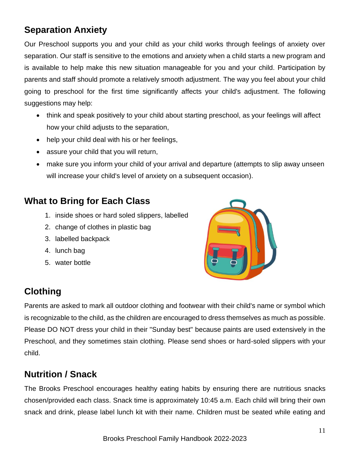## **Separation Anxiety**

Our Preschool supports you and your child as your child works through feelings of anxiety over separation. Our staff is sensitive to the emotions and anxiety when a child starts a new program and is available to help make this new situation manageable for you and your child. Participation by parents and staff should promote a relatively smooth adjustment. The way you feel about your child going to preschool for the first time significantly affects your child's adjustment. The following suggestions may help:

- think and speak positively to your child about starting preschool, as your feelings will affect how your child adjusts to the separation,
- help your child deal with his or her feelings,
- assure your child that you will return,
- make sure you inform your child of your arrival and departure (attempts to slip away unseen will increase your child's level of anxiety on a subsequent occasion).

#### **What to Bring for Each Class**

- 1. inside shoes or hard soled slippers, labelled
- 2. change of clothes in plastic bag
- 3. labelled backpack
- 4. lunch bag
- 5. water bottle



## **Clothing**

Parents are asked to mark all outdoor clothing and footwear with their child's name or symbol which is recognizable to the child, as the children are encouraged to dress themselves as much as possible. Please DO NOT dress your child in their "Sunday best" because paints are used extensively in the Preschool, and they sometimes stain clothing. Please send shoes or hard-soled slippers with your child.

## **Nutrition / Snack**

The Brooks Preschool encourages healthy eating habits by ensuring there are nutritious snacks chosen/provided each class. Snack time is approximately 10:45 a.m. Each child will bring their own snack and drink, please label lunch kit with their name. Children must be seated while eating and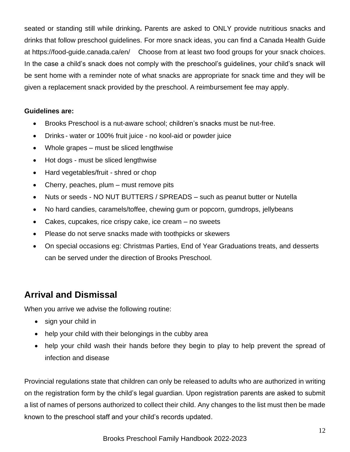seated or standing still while drinking**.** Parents are asked to ONLY provide nutritious snacks and drinks that follow preschool guidelines. For more snack ideas, you can find a Canada Health Guide at https://food-guide.canada.ca/en/ Choose from at least two food groups for your snack choices. In the case a child's snack does not comply with the preschool's guidelines, your child's snack will be sent home with a reminder note of what snacks are appropriate for snack time and they will be given a replacement snack provided by the preschool. A reimbursement fee may apply.

#### **Guidelines are:**

- Brooks Preschool is a nut-aware school; children's snacks must be nut-free.
- Drinks water or 100% fruit juice no kool-aid or powder juice
- Whole grapes must be sliced lengthwise
- Hot dogs must be sliced lengthwise
- Hard vegetables/fruit shred or chop
- Cherry, peaches, plum must remove pits
- Nuts or seeds NO NUT BUTTERS / SPREADS such as peanut butter or Nutella
- No hard candies, caramels/toffee, chewing gum or popcorn, gumdrops, jellybeans
- Cakes, cupcakes, rice crispy cake, ice cream no sweets
- Please do not serve snacks made with toothpicks or skewers
- On special occasions eg: Christmas Parties, End of Year Graduations treats, and desserts can be served under the direction of Brooks Preschool.

## **Arrival and Dismissal**

When you arrive we advise the following routine:

- sign your child in
- help your child with their belongings in the cubby area
- help your child wash their hands before they begin to play to help prevent the spread of infection and disease

Provincial regulations state that children can only be released to adults who are authorized in writing on the registration form by the child's legal guardian. Upon registration parents are asked to submit a list of names of persons authorized to collect their child. Any changes to the list must then be made known to the preschool staff and your child's records updated.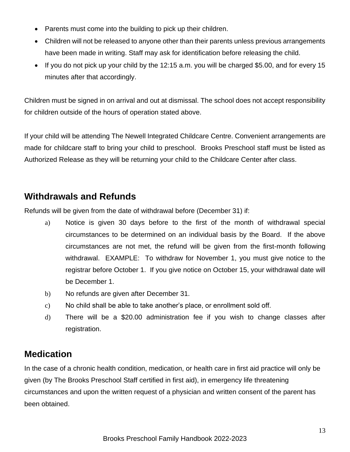- Parents must come into the building to pick up their children.
- Children will not be released to anyone other than their parents unless previous arrangements have been made in writing. Staff may ask for identification before releasing the child.
- If you do not pick up your child by the 12:15 a.m. you will be charged \$5.00, and for every 15 minutes after that accordingly.

Children must be signed in on arrival and out at dismissal. The school does not accept responsibility for children outside of the hours of operation stated above.

If your child will be attending The Newell Integrated Childcare Centre. Convenient arrangements are made for childcare staff to bring your child to preschool. Brooks Preschool staff must be listed as Authorized Release as they will be returning your child to the Childcare Center after class.

#### **Withdrawals and Refunds**

Refunds will be given from the date of withdrawal before (December 31) if:

- a) Notice is given 30 days before to the first of the month of withdrawal special circumstances to be determined on an individual basis by the Board. If the above circumstances are not met, the refund will be given from the first-month following withdrawal. EXAMPLE: To withdraw for November 1, you must give notice to the registrar before October 1. If you give notice on October 15, your withdrawal date will be December 1.
- b) No refunds are given after December 31.
- c) No child shall be able to take another's place, or enrollment sold off.
- d) There will be a \$20.00 administration fee if you wish to change classes after registration.

#### **Medication**

In the case of a chronic health condition, medication, or health care in first aid practice will only be given (by The Brooks Preschool Staff certified in first aid), in emergency life threatening circumstances and upon the written request of a physician and written consent of the parent has been obtained.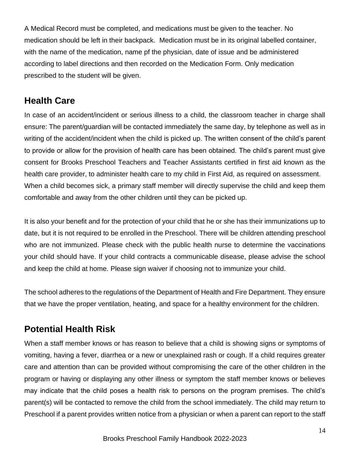A Medical Record must be completed, and medications must be given to the teacher. No medication should be left in their backpack. Medication must be in its original labelled container, with the name of the medication, name pf the physician, date of issue and be administered according to label directions and then recorded on the Medication Form. Only medication prescribed to the student will be given.

#### **Health Care**

In case of an accident/incident or serious illness to a child, the classroom teacher in charge shall ensure: The parent/guardian will be contacted immediately the same day, by telephone as well as in writing of the accident/incident when the child is picked up. The written consent of the child's parent to provide or allow for the provision of health care has been obtained. The child's parent must give consent for Brooks Preschool Teachers and Teacher Assistants certified in first aid known as the health care provider, to administer health care to my child in First Aid, as required on assessment. When a child becomes sick, a primary staff member will directly supervise the child and keep them comfortable and away from the other children until they can be picked up.

It is also your benefit and for the protection of your child that he or she has their immunizations up to date, but it is not required to be enrolled in the Preschool. There will be children attending preschool who are not immunized. Please check with the public health nurse to determine the vaccinations your child should have. If your child contracts a communicable disease, please advise the school and keep the child at home. Please sign waiver if choosing not to immunize your child.

The school adheres to the regulations of the Department of Health and Fire Department. They ensure that we have the proper ventilation, heating, and space for a healthy environment for the children.

## **Potential Health Risk**

When a staff member knows or has reason to believe that a child is showing signs or symptoms of vomiting, having a fever, diarrhea or a new or unexplained rash or cough. If a child requires greater care and attention than can be provided without compromising the care of the other children in the program or having or displaying any other illness or symptom the staff member knows or believes may indicate that the child poses a health risk to persons on the program premises. The child's parent(s) will be contacted to remove the child from the school immediately. The child may return to Preschool if a parent provides written notice from a physician or when a parent can report to the staff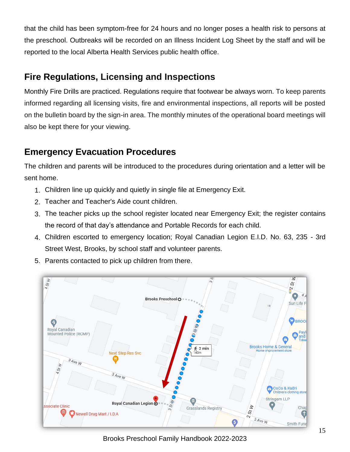that the child has been symptom-free for 24 hours and no longer poses a health risk to persons at the preschool. Outbreaks will be recorded on an Illness Incident Log Sheet by the staff and will be reported to the local Alberta Health Services public health office.

## **Fire Regulations, Licensing and Inspections**

Monthly Fire Drills are practiced. Regulations require that footwear be always worn. To keep parents informed regarding all licensing visits, fire and environmental inspections, all reports will be posted on the bulletin board by the sign-in area. The monthly minutes of the operational board meetings will also be kept there for your viewing.

## **Emergency Evacuation Procedures**

The children and parents will be introduced to the procedures during orientation and a letter will be sent home.

- 1. Children line up quickly and quietly in single file at Emergency Exit.
- 2. Teacher and Teacher's Aide count children.
- 3. The teacher picks up the school register located near Emergency Exit; the register contains the record of that day's attendance and Portable Records for each child.
- 4. Children escorted to emergency location; Royal Canadian Legion E.I.D. No. 63, 235 3rd Street West, Brooks, by school staff and volunteer parents.
- 5. Parents contacted to pick up children from there.



Brooks Preschool Family Handbook 2022-2023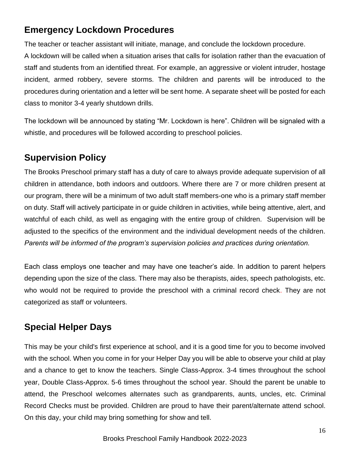## **Emergency Lockdown Procedures**

The teacher or teacher assistant will initiate, manage, and conclude the lockdown procedure.

A lockdown will be called when a situation arises that calls for isolation rather than the evacuation of staff and students from an identified threat. For example, an aggressive or violent intruder, hostage incident, armed robbery, severe storms. The children and parents will be introduced to the procedures during orientation and a letter will be sent home. A separate sheet will be posted for each class to monitor 3-4 yearly shutdown drills.

The lockdown will be announced by stating "Mr. Lockdown is here". Children will be signaled with a whistle, and procedures will be followed according to preschool policies.

## **Supervision Policy**

The Brooks Preschool primary staff has a duty of care to always provide adequate supervision of all children in attendance, both indoors and outdoors. Where there are 7 or more children present at our program, there will be a minimum of two adult staff members-one who is a primary staff member on duty. Staff will actively participate in or guide children in activities, while being attentive, alert, and watchful of each child, as well as engaging with the entire group of children. Supervision will be adjusted to the specifics of the environment and the individual development needs of the children. *Parents will be informed of the program's supervision policies and practices during orientation.*

Each class employs one teacher and may have one teacher's aide. In addition to parent helpers depending upon the size of the class. There may also be therapists, aides, speech pathologists, etc. who would not be required to provide the preschool with a criminal record check. They are not categorized as staff or volunteers.

## **Special Helper Days**

This may be your child's first experience at school, and it is a good time for you to become involved with the school. When you come in for your Helper Day you will be able to observe your child at play and a chance to get to know the teachers. Single Class-Approx. 3-4 times throughout the school year, Double Class-Approx. 5-6 times throughout the school year. Should the parent be unable to attend, the Preschool welcomes alternates such as grandparents, aunts, uncles, etc. Criminal Record Checks must be provided. Children are proud to have their parent/alternate attend school. On this day, your child may bring something for show and tell.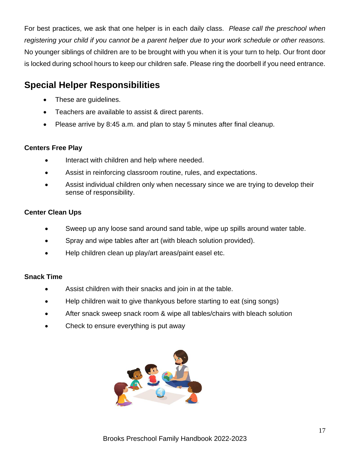For best practices, we ask that one helper is in each daily class. *Please call the preschool when registering your child if you cannot be a parent helper due to your work schedule or other reasons.* No younger siblings of children are to be brought with you when it is your turn to help. Our front door is locked during school hours to keep our children safe. Please ring the doorbell if you need entrance.

## **Special Helper Responsibilities**

- These are guidelines.
- Teachers are available to assist & direct parents.
- Please arrive by 8:45 a.m. and plan to stay 5 minutes after final cleanup.

#### **Centers Free Play**

- Interact with children and help where needed.
- Assist in reinforcing classroom routine, rules, and expectations.
- Assist individual children only when necessary since we are trying to develop their sense of responsibility.

#### **Center Clean Ups**

- Sweep up any loose sand around sand table, wipe up spills around water table.
- Spray and wipe tables after art (with bleach solution provided).
- Help children clean up play/art areas/paint easel etc.

#### **Snack Time**

- Assist children with their snacks and join in at the table.
- Help children wait to give thankyous before starting to eat (sing songs)
- After snack sweep snack room & wipe all tables/chairs with bleach solution
- Check to ensure everything is put away

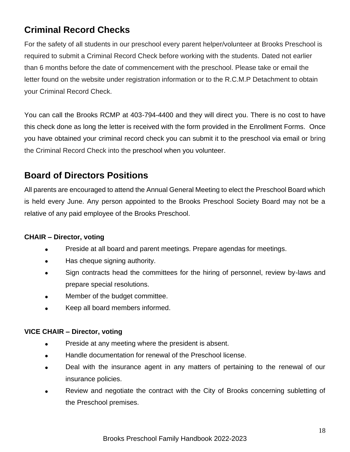## **Criminal Record Checks**

For the safety of all students in our preschool every parent helper/volunteer at Brooks Preschool is required to submit a Criminal Record Check before working with the students. Dated not earlier than 6 months before the date of commencement with the preschool. Please take or email the letter found on the website under registration information or to the R.C.M.P Detachment to obtain your Criminal Record Check.

You can call the Brooks RCMP at 403-794-4400 and they will direct you. There is no cost to have this check done as long the letter is received with the form provided in the Enrollment Forms. Once you have obtained your criminal record check you can submit it to the preschool via email or bring the Criminal Record Check into the preschool when you volunteer.

#### **Board of Directors Positions**

All parents are encouraged to attend the Annual General Meeting to elect the Preschool Board which is held every June. Any person appointed to the Brooks Preschool Society Board may not be a relative of any paid employee of the Brooks Preschool.

#### **CHAIR – Director, voting**

- Preside at all board and parent meetings. Prepare agendas for meetings.
- Has cheque signing authority.
- Sign contracts head the committees for the hiring of personnel, review by-laws and prepare special resolutions.
- Member of the budget committee.
- Keep all board members informed.

#### **VICE CHAIR – Director, voting**

- Preside at any meeting where the president is absent.
- Handle documentation for renewal of the Preschool license.
- Deal with the insurance agent in any matters of pertaining to the renewal of our insurance policies.
- Review and negotiate the contract with the City of Brooks concerning subletting of the Preschool premises.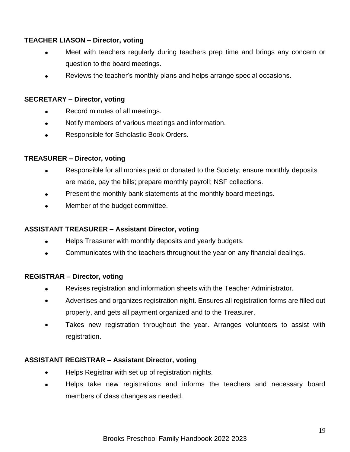#### **TEACHER LIASON – Director, voting**

- Meet with teachers regularly during teachers prep time and brings any concern or question to the board meetings.
- Reviews the teacher's monthly plans and helps arrange special occasions.

#### **SECRETARY – Director, voting**

- Record minutes of all meetings.
- Notify members of various meetings and information.
- Responsible for Scholastic Book Orders.

#### **TREASURER – Director, voting**

- Responsible for all monies paid or donated to the Society; ensure monthly deposits are made, pay the bills; prepare monthly payroll; NSF collections.
- Present the monthly bank statements at the monthly board meetings.
- Member of the budget committee.

#### **ASSISTANT TREASURER – Assistant Director, voting**

- Helps Treasurer with monthly deposits and yearly budgets.
- Communicates with the teachers throughout the year on any financial dealings.

#### **REGISTRAR – Director, voting**

- Revises registration and information sheets with the Teacher Administrator.
- Advertises and organizes registration night. Ensures all registration forms are filled out properly, and gets all payment organized and to the Treasurer.
- Takes new registration throughout the year. Arranges volunteers to assist with registration.

#### **ASSISTANT REGISTRAR – Assistant Director, voting**

- Helps Registrar with set up of registration nights.
- Helps take new registrations and informs the teachers and necessary board members of class changes as needed.